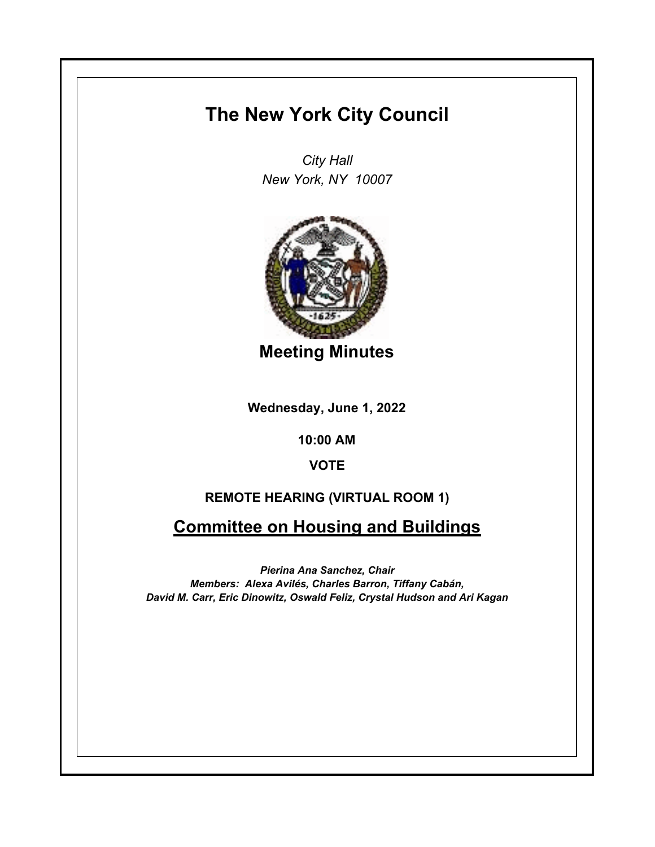## **The New York City Council**

*City Hall New York, NY 10007*



**Meeting Minutes**

**Wednesday, June 1, 2022**

**10:00 AM**

## **VOTE**

## **REMOTE HEARING (VIRTUAL ROOM 1)**

## **Committee on Housing and Buildings**

*Pierina Ana Sanchez, Chair Members: Alexa Avilés, Charles Barron, Tiffany Cabán, David M. Carr, Eric Dinowitz, Oswald Feliz, Crystal Hudson and Ari Kagan*